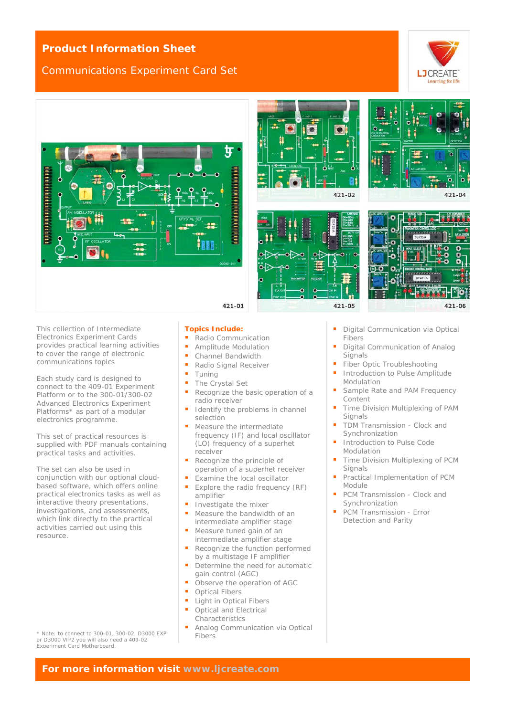### **Product Information Sheet**

## Communications Experiment Card Set









 $421 - 02$ 

 $421 - 05$ 

421-04

421-06

This collection of Intermediate Electronics Experiment Cards provides practical learning activities to cover the range of electronic communications topics

Each study card is designed to connect to the 409-01 Experiment Platform or to the 300-01/300-02 Advanced Electronics Experiment Platforms\* as part of a modular electronics programme.

This set of practical resources is supplied with PDF manuals containing practical tasks and activities.

The set can also be used in conjunction with our optional cloudbased software, which offers online practical electronics tasks as well as interactive theory presentations, investigations, and assessments, which link directly to the practical activities carried out using this resource.

\* Note: to connect to 300-01, 300-02, D3000 EXP or D3000 VIP2 you will also need a 409-02 Experiment Card Motherboard.

#### **Topics Include:**

- Radio Communication
- **Amplitude Modulation**<br> **Channel Bandwidth**
- Channel Bandwidth
- Radio Signal Receiver
- $T$ uning
- 
- Recognize the basic operation of a radio receiver
- selection
- frequency (IF) and local oscillator (LO) frequency of a superhet receiver
- operation of a superhet receiver
- Examine the local oscillator
- Explore the radio frequency (RF) amplifier
- Investigate the mixer
- Measure the bandwidth of an intermediate amplifier stage
- Measure tuned gain of an intermediate amplifier stage
- Recognize the function performed by a multistage IF amplifier
- Determine the need for automatic gain control (AGC)
- Observe the operation of AGC
- Optical Fibers
- **Light in Optical Fibers**
- Optical and Electrical **Characteristics**
- Analog Communication via Optical Fibers
- **Digital Communication via Optical** Fibers
- Digital Communication of Analog **Signals**

ō ō Ö

- Fiber Optic Troubleshooting
- **Introduction to Pulse Amplitude** Modulation
- Sample Rate and PAM Frequency Content
- **Time Division Multiplexing of PAM Signals**
- TDM Transmission Clock and Synchronization
- Introduction to Pulse Code Modulation
- Time Division Multiplexing of PCM **Signals**
- Practical Implementation of PCM Module
- PCM Transmission Clock and Synchronization
- PCM Transmission Error Detection and Parity

**For more information visit [www.ljcreate.com](http://www.ljcreate.com/)**

- 
- 
- $\blacksquare$  The Crystal Set
- 
- Identify the problems in channel
- Measure the intermediate
- **Recognize the principle of**
- -